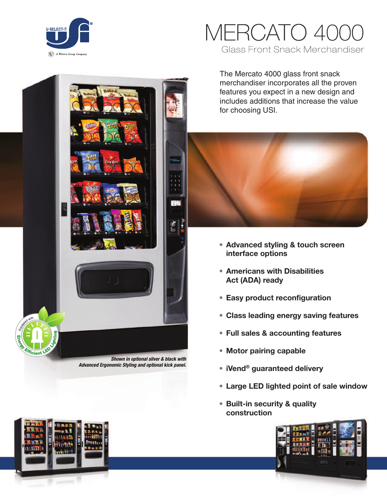

# MERCATO **Glass Front Snack Merchandiser**

The Mercato 4000 glass front snack merchandiser incorporates all the proven features you expect in a new design and includes additions that increase the value for choosing USI.



- **• Advanced styling & touch screen interface options**
- **• Americans with Disabilities Act (ADA) ready**
- **• Easy product reconfiguration**
- **• Class leading energy saving features**
- **• Full sales & accounting features**
- **• Motor pairing capable**
- **• iVend® guaranteed delivery**
- **• Large LED lighted point of sale window**
- **• Built-in security & quality construction**





*Shown in optional silver & black with Advanced Ergonomic Styling and optional kick panel.*